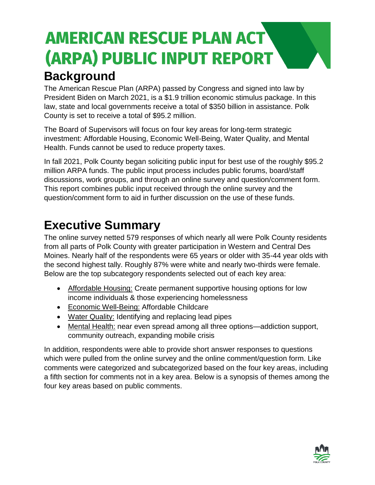### **AMERICAN RESCUE PLAN ACT** (ARPA) PUBLIC INPUT REPORT **Background**

The American Rescue Plan (ARPA) passed by Congress and signed into law by President Biden on March 2021, is a \$1.9 trillion economic stimulus package. In this law, state and local governments receive a total of \$350 billion in assistance. Polk County is set to receive a total of \$95.2 million.

The Board of Supervisors will focus on four key areas for long-term strategic investment: Affordable Housing, Economic Well-Being, Water Quality, and Mental Health. Funds cannot be used to reduce property taxes.

In fall 2021, Polk County began soliciting public input for best use of the roughly \$95.2 million ARPA funds. The public input process includes public forums, board/staff discussions, work groups, and through an online survey and question/comment form. This report combines public input received through the online survey and the question/comment form to aid in further discussion on the use of these funds.

### **Executive Summary**

The online survey netted 579 responses of which nearly all were Polk County residents from all parts of Polk County with greater participation in Western and Central Des Moines. Nearly half of the respondents were 65 years or older with 35-44 year olds with the second highest tally. Roughly 87% were white and nearly two-thirds were female. Below are the top subcategory respondents selected out of each key area:

- Affordable Housing: Create permanent supportive housing options for low income individuals & those experiencing homelessness
- Economic Well-Being: Affordable Childcare
- Water Quality: Identifying and replacing lead pipes
- Mental Health: near even spread among all three options—addiction support, community outreach, expanding mobile crisis

In addition, respondents were able to provide short answer responses to questions which were pulled from the online survey and the online comment/question form. Like comments were categorized and subcategorized based on the four key areas, including a fifth section for comments not in a key area. Below is a synopsis of themes among the four key areas based on public comments.

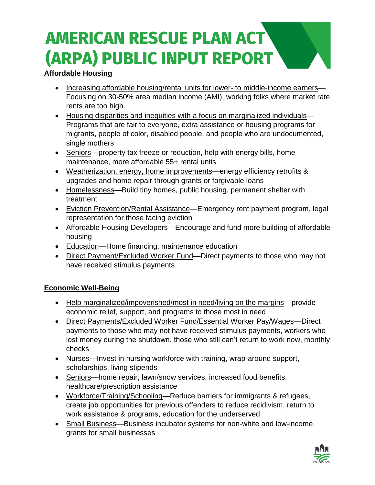# **AMERICAN RESCUE PLAN ACT** (ARPA) PUBLIC INPUT REPORT

### **Affordable Housing**

- Increasing affordable housing/rental units for lower- to middle-income earners— Focusing on 30-50% area median income (AMI), working folks where market rate rents are too high.
- Housing disparities and inequities with a focus on marginalized individuals— Programs that are fair to everyone, extra assistance or housing programs for migrants, people of color, disabled people, and people who are undocumented, single mothers
- Seniors—property tax freeze or reduction, help with energy bills, home maintenance, more affordable 55+ rental units
- Weatherization, energy, home improvements—energy efficiency retrofits & upgrades and home repair through grants or forgivable loans
- Homelessness—Build tiny homes, public housing, permanent shelter with treatment
- Eviction Prevention/Rental Assistance—Emergency rent payment program, legal representation for those facing eviction
- Affordable Housing Developers—Encourage and fund more building of affordable housing
- Education—Home financing, maintenance education
- Direct Payment/Excluded Worker Fund—Direct payments to those who may not have received stimulus payments

#### **Economic Well-Being**

- Help marginalized/impoverished/most in need/living on the margins—provide economic relief, support, and programs to those most in need
- Direct Payments/Excluded Worker Fund/Essential Worker Pay/Wages—Direct payments to those who may not have received stimulus payments, workers who lost money during the shutdown, those who still can't return to work now, monthly checks
- Nurses—Invest in nursing workforce with training, wrap-around support, scholarships, living stipends
- Seniors—home repair, lawn/snow services, increased food benefits, healthcare/prescription assistance
- Workforce/Training/Schooling—Reduce barriers for immigrants & refugees, create job opportunities for previous offenders to reduce recidivism, return to work assistance & programs, education for the underserved
- Small Business—Business incubator systems for non-white and low-income, grants for small businesses

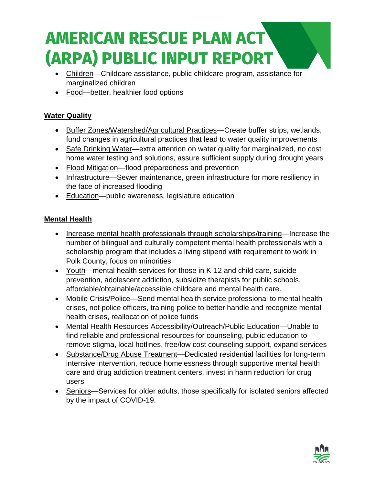## **AMERICAN RESCUE PLAN ACT** (ARPA) PUBLIC INPUT REPORT

- Children-Childcare assistance, public childcare program, assistance for marginalized children
- Food—better, healthier food options

### **Water Quality**

- Buffer Zones/Watershed/Agricultural Practices—Create buffer strips, wetlands, fund changes in agricultural practices that lead to water quality improvements
- Safe Drinking Water—extra attention on water quality for marginalized, no cost home water testing and solutions, assure sufficient supply during drought years
- Flood Mitigation—flood preparedness and prevention
- Infrastructure—Sewer maintenance, green infrastructure for more resiliency in the face of increased flooding
- Education—public awareness, legislature education

#### **Mental Health**

- Increase mental health professionals through scholarships/training—Increase the number of bilingual and culturally competent mental health professionals with a scholarship program that includes a living stipend with requirement to work in Polk County, focus on minorities
- Youth—mental health services for those in K-12 and child care, suicide prevention, adolescent addiction, subsidize therapists for public schools, affordable/obtainable/accessible childcare and mental health care.
- Mobile Crisis/Police—Send mental health service professional to mental health crises, not police officers, training police to better handle and recognize mental health crises, reallocation of police funds
- Mental Health Resources Accessibility/Outreach/Public Education—Unable to find reliable and professional resources for counseling, public education to remove stigma, local hotlines, free/low cost counseling support, expand services
- Substance/Drug Abuse Treatment—Dedicated residential facilities for long-term intensive intervention, reduce homelessness through supportive mental health care and drug addiction treatment centers, invest in harm reduction for drug users
- Seniors—Services for older adults, those specifically for isolated seniors affected by the impact of COVID-19.